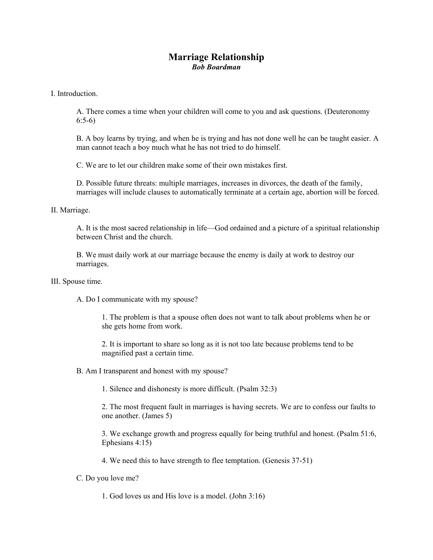## **Marriage Relationship**  *Bob Boardman*

I. Introduction.

A. There comes a time when your children will come to you and ask questions. (Deuteronomy 6:5-6)

B. A boy learns by trying, and when he is trying and has not done well he can be taught easier. A man cannot teach a boy much what he has not tried to do himself.

C. We are to let our children make some of their own mistakes first.

D. Possible future threats: multiple marriages, increases in divorces, the death of the family, marriages will include clauses to automatically terminate at a certain age, abortion will be forced.

II. Marriage.

A. It is the most sacred relationship in life—God ordained and a picture of a spiritual relationship between Christ and the church.

B. We must daily work at our marriage because the enemy is daily at work to destroy our marriages.

III. Spouse time.

A. Do I communicate with my spouse?

1. The problem is that a spouse often does not want to talk about problems when he or she gets home from work.

2. It is important to share so long as it is not too late because problems tend to be magnified past a certain time.

B. Am I transparent and honest with my spouse?

1. Silence and dishonesty is more difficult. (Psalm 32:3)

2. The most frequent fault in marriages is having secrets. We are to confess our faults to one another. (James 5)

3. We exchange growth and progress equally for being truthful and honest. (Psalm 51:6, Ephesians 4:15)

4. We need this to have strength to flee temptation. (Genesis 37-51)

C. Do you love me?

1. God loves us and His love is a model. (John 3:16)